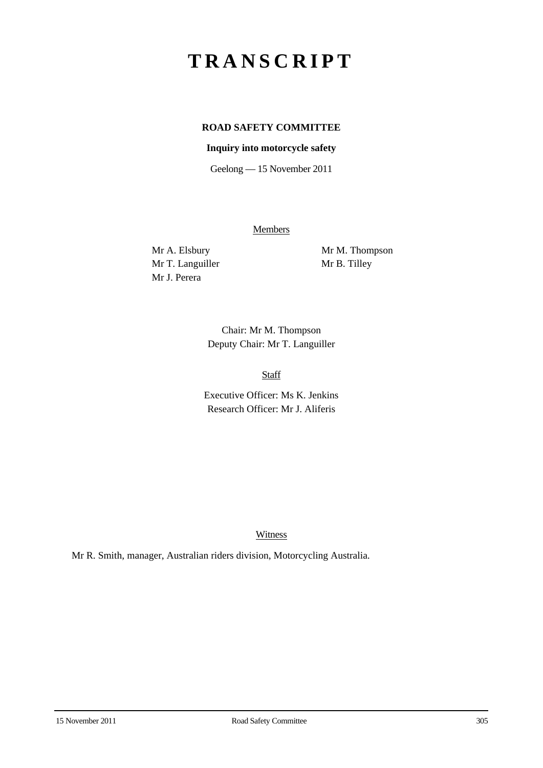# **TRANSCRIPT**

## **ROAD SAFETY COMMITTEE**

### **Inquiry into motorcycle safety**

Geelong — 15 November 2011

**Members** 

Mr T. Languiller Mr B. Tilley Mr J. Perera

Mr A. Elsbury Mr M. Thompson

Chair: Mr M. Thompson Deputy Chair: Mr T. Languiller

Staff

Executive Officer: Ms K. Jenkins Research Officer: Mr J. Aliferis

Witness

Mr R. Smith, manager, Australian riders division, Motorcycling Australia.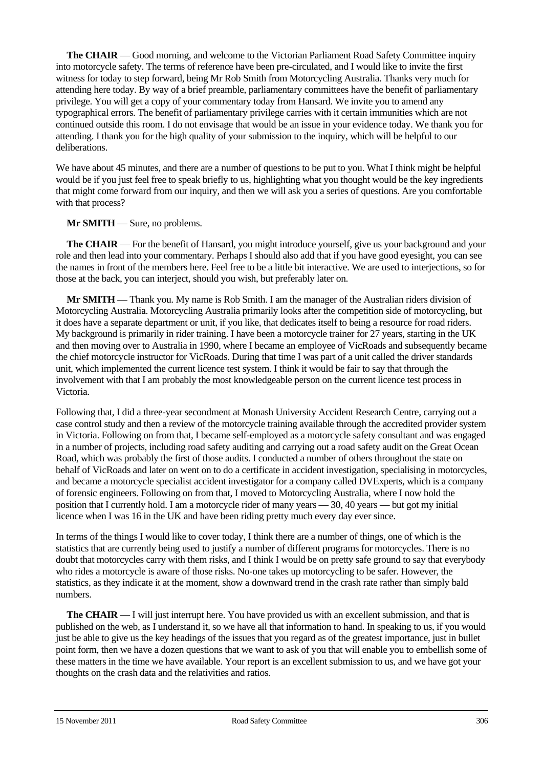**The CHAIR** — Good morning, and welcome to the Victorian Parliament Road Safety Committee inquiry into motorcycle safety. The terms of reference have been pre-circulated, and I would like to invite the first witness for today to step forward, being Mr Rob Smith from Motorcycling Australia. Thanks very much for attending here today. By way of a brief preamble, parliamentary committees have the benefit of parliamentary privilege. You will get a copy of your commentary today from Hansard. We invite you to amend any typographical errors. The benefit of parliamentary privilege carries with it certain immunities which are not continued outside this room. I do not envisage that would be an issue in your evidence today. We thank you for attending. I thank you for the high quality of your submission to the inquiry, which will be helpful to our deliberations.

We have about 45 minutes, and there are a number of questions to be put to you. What I think might be helpful would be if you just feel free to speak briefly to us, highlighting what you thought would be the key ingredients that might come forward from our inquiry, and then we will ask you a series of questions. Are you comfortable with that process?

### **Mr SMITH** — Sure, no problems.

**The CHAIR** — For the benefit of Hansard, you might introduce yourself, give us your background and your role and then lead into your commentary. Perhaps I should also add that if you have good eyesight, you can see the names in front of the members here. Feel free to be a little bit interactive. We are used to interjections, so for those at the back, you can interject, should you wish, but preferably later on.

**Mr SMITH** — Thank you. My name is Rob Smith. I am the manager of the Australian riders division of Motorcycling Australia. Motorcycling Australia primarily looks after the competition side of motorcycling, but it does have a separate department or unit, if you like, that dedicates itself to being a resource for road riders. My background is primarily in rider training. I have been a motorcycle trainer for 27 years, starting in the UK and then moving over to Australia in 1990, where I became an employee of VicRoads and subsequently became the chief motorcycle instructor for VicRoads. During that time I was part of a unit called the driver standards unit, which implemented the current licence test system. I think it would be fair to say that through the involvement with that I am probably the most knowledgeable person on the current licence test process in Victoria.

Following that, I did a three-year secondment at Monash University Accident Research Centre, carrying out a case control study and then a review of the motorcycle training available through the accredited provider system in Victoria. Following on from that, I became self-employed as a motorcycle safety consultant and was engaged in a number of projects, including road safety auditing and carrying out a road safety audit on the Great Ocean Road, which was probably the first of those audits. I conducted a number of others throughout the state on behalf of VicRoads and later on went on to do a certificate in accident investigation, specialising in motorcycles, and became a motorcycle specialist accident investigator for a company called DVExperts, which is a company of forensic engineers. Following on from that, I moved to Motorcycling Australia, where I now hold the position that I currently hold. I am a motorcycle rider of many years — 30, 40 years — but got my initial licence when I was 16 in the UK and have been riding pretty much every day ever since.

In terms of the things I would like to cover today, I think there are a number of things, one of which is the statistics that are currently being used to justify a number of different programs for motorcycles. There is no doubt that motorcycles carry with them risks, and I think I would be on pretty safe ground to say that everybody who rides a motorcycle is aware of those risks. No-one takes up motorcycling to be safer. However, the statistics, as they indicate it at the moment, show a downward trend in the crash rate rather than simply bald numbers.

**The CHAIR** — I will just interrupt here. You have provided us with an excellent submission, and that is published on the web, as I understand it, so we have all that information to hand. In speaking to us, if you would just be able to give us the key headings of the issues that you regard as of the greatest importance, just in bullet point form, then we have a dozen questions that we want to ask of you that will enable you to embellish some of these matters in the time we have available. Your report is an excellent submission to us, and we have got your thoughts on the crash data and the relativities and ratios.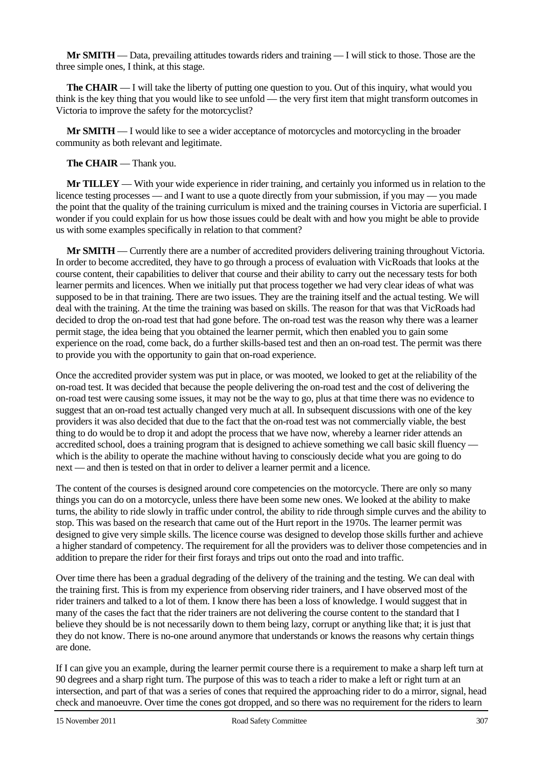**Mr SMITH** — Data, prevailing attitudes towards riders and training — I will stick to those. Those are the three simple ones, I think, at this stage.

**The CHAIR** — I will take the liberty of putting one question to you. Out of this inquiry, what would you think is the key thing that you would like to see unfold — the very first item that might transform outcomes in Victoria to improve the safety for the motorcyclist?

**Mr SMITH** — I would like to see a wider acceptance of motorcycles and motorcycling in the broader community as both relevant and legitimate.

#### **The CHAIR** — Thank you.

**Mr TILLEY** — With your wide experience in rider training, and certainly you informed us in relation to the licence testing processes — and I want to use a quote directly from your submission, if you may — you made the point that the quality of the training curriculum is mixed and the training courses in Victoria are superficial. I wonder if you could explain for us how those issues could be dealt with and how you might be able to provide us with some examples specifically in relation to that comment?

**Mr SMITH** — Currently there are a number of accredited providers delivering training throughout Victoria. In order to become accredited, they have to go through a process of evaluation with VicRoads that looks at the course content, their capabilities to deliver that course and their ability to carry out the necessary tests for both learner permits and licences. When we initially put that process together we had very clear ideas of what was supposed to be in that training. There are two issues. They are the training itself and the actual testing. We will deal with the training. At the time the training was based on skills. The reason for that was that VicRoads had decided to drop the on-road test that had gone before. The on-road test was the reason why there was a learner permit stage, the idea being that you obtained the learner permit, which then enabled you to gain some experience on the road, come back, do a further skills-based test and then an on-road test. The permit was there to provide you with the opportunity to gain that on-road experience.

Once the accredited provider system was put in place, or was mooted, we looked to get at the reliability of the on-road test. It was decided that because the people delivering the on-road test and the cost of delivering the on-road test were causing some issues, it may not be the way to go, plus at that time there was no evidence to suggest that an on-road test actually changed very much at all. In subsequent discussions with one of the key providers it was also decided that due to the fact that the on-road test was not commercially viable, the best thing to do would be to drop it and adopt the process that we have now, whereby a learner rider attends an accredited school, does a training program that is designed to achieve something we call basic skill fluency which is the ability to operate the machine without having to consciously decide what you are going to do next — and then is tested on that in order to deliver a learner permit and a licence.

The content of the courses is designed around core competencies on the motorcycle. There are only so many things you can do on a motorcycle, unless there have been some new ones. We looked at the ability to make turns, the ability to ride slowly in traffic under control, the ability to ride through simple curves and the ability to stop. This was based on the research that came out of the Hurt report in the 1970s. The learner permit was designed to give very simple skills. The licence course was designed to develop those skills further and achieve a higher standard of competency. The requirement for all the providers was to deliver those competencies and in addition to prepare the rider for their first forays and trips out onto the road and into traffic.

Over time there has been a gradual degrading of the delivery of the training and the testing. We can deal with the training first. This is from my experience from observing rider trainers, and I have observed most of the rider trainers and talked to a lot of them. I know there has been a loss of knowledge. I would suggest that in many of the cases the fact that the rider trainers are not delivering the course content to the standard that I believe they should be is not necessarily down to them being lazy, corrupt or anything like that; it is just that they do not know. There is no-one around anymore that understands or knows the reasons why certain things are done.

If I can give you an example, during the learner permit course there is a requirement to make a sharp left turn at 90 degrees and a sharp right turn. The purpose of this was to teach a rider to make a left or right turn at an intersection, and part of that was a series of cones that required the approaching rider to do a mirror, signal, head check and manoeuvre. Over time the cones got dropped, and so there was no requirement for the riders to learn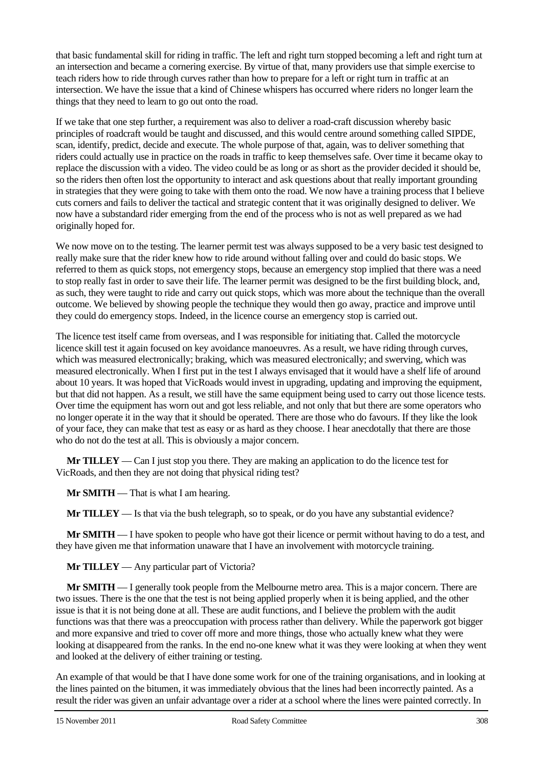that basic fundamental skill for riding in traffic. The left and right turn stopped becoming a left and right turn at an intersection and became a cornering exercise. By virtue of that, many providers use that simple exercise to teach riders how to ride through curves rather than how to prepare for a left or right turn in traffic at an intersection. We have the issue that a kind of Chinese whispers has occurred where riders no longer learn the things that they need to learn to go out onto the road.

If we take that one step further, a requirement was also to deliver a road-craft discussion whereby basic principles of roadcraft would be taught and discussed, and this would centre around something called SIPDE, scan, identify, predict, decide and execute. The whole purpose of that, again, was to deliver something that riders could actually use in practice on the roads in traffic to keep themselves safe. Over time it became okay to replace the discussion with a video. The video could be as long or as short as the provider decided it should be, so the riders then often lost the opportunity to interact and ask questions about that really important grounding in strategies that they were going to take with them onto the road. We now have a training process that I believe cuts corners and fails to deliver the tactical and strategic content that it was originally designed to deliver. We now have a substandard rider emerging from the end of the process who is not as well prepared as we had originally hoped for.

We now move on to the testing. The learner permit test was always supposed to be a very basic test designed to really make sure that the rider knew how to ride around without falling over and could do basic stops. We referred to them as quick stops, not emergency stops, because an emergency stop implied that there was a need to stop really fast in order to save their life. The learner permit was designed to be the first building block, and, as such, they were taught to ride and carry out quick stops, which was more about the technique than the overall outcome. We believed by showing people the technique they would then go away, practice and improve until they could do emergency stops. Indeed, in the licence course an emergency stop is carried out.

The licence test itself came from overseas, and I was responsible for initiating that. Called the motorcycle licence skill test it again focused on key avoidance manoeuvres. As a result, we have riding through curves, which was measured electronically; braking, which was measured electronically; and swerving, which was measured electronically. When I first put in the test I always envisaged that it would have a shelf life of around about 10 years. It was hoped that VicRoads would invest in upgrading, updating and improving the equipment, but that did not happen. As a result, we still have the same equipment being used to carry out those licence tests. Over time the equipment has worn out and got less reliable, and not only that but there are some operators who no longer operate it in the way that it should be operated. There are those who do favours. If they like the look of your face, they can make that test as easy or as hard as they choose. I hear anecdotally that there are those who do not do the test at all. This is obviously a major concern.

**Mr TILLEY** — Can I just stop you there. They are making an application to do the licence test for VicRoads, and then they are not doing that physical riding test?

**Mr SMITH** — That is what I am hearing.

**Mr TILLEY** — Is that via the bush telegraph, so to speak, or do you have any substantial evidence?

**Mr SMITH** — I have spoken to people who have got their licence or permit without having to do a test, and they have given me that information unaware that I have an involvement with motorcycle training.

**Mr TILLEY** — Any particular part of Victoria?

**Mr SMITH** — I generally took people from the Melbourne metro area. This is a major concern. There are two issues. There is the one that the test is not being applied properly when it is being applied, and the other issue is that it is not being done at all. These are audit functions, and I believe the problem with the audit functions was that there was a preoccupation with process rather than delivery. While the paperwork got bigger and more expansive and tried to cover off more and more things, those who actually knew what they were looking at disappeared from the ranks. In the end no-one knew what it was they were looking at when they went and looked at the delivery of either training or testing.

An example of that would be that I have done some work for one of the training organisations, and in looking at the lines painted on the bitumen, it was immediately obvious that the lines had been incorrectly painted. As a result the rider was given an unfair advantage over a rider at a school where the lines were painted correctly. In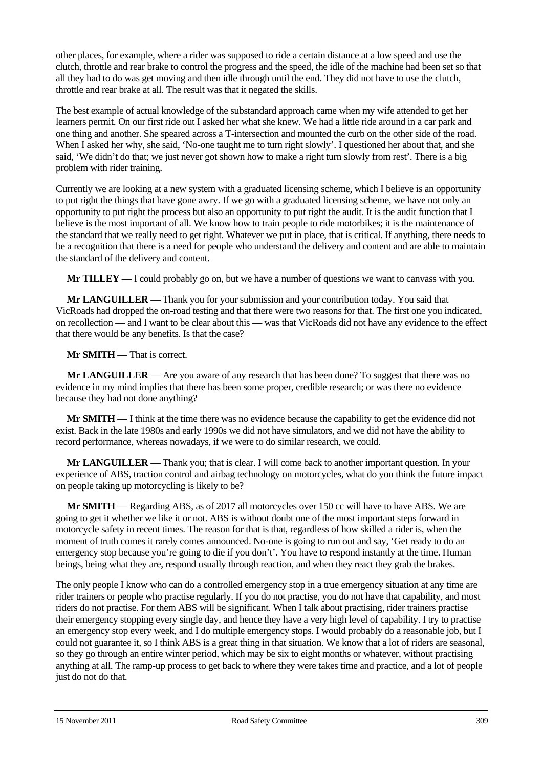other places, for example, where a rider was supposed to ride a certain distance at a low speed and use the clutch, throttle and rear brake to control the progress and the speed, the idle of the machine had been set so that all they had to do was get moving and then idle through until the end. They did not have to use the clutch, throttle and rear brake at all. The result was that it negated the skills.

The best example of actual knowledge of the substandard approach came when my wife attended to get her learners permit. On our first ride out I asked her what she knew. We had a little ride around in a car park and one thing and another. She speared across a T-intersection and mounted the curb on the other side of the road. When I asked her why, she said, 'No-one taught me to turn right slowly'. I questioned her about that, and she said, 'We didn't do that; we just never got shown how to make a right turn slowly from rest'. There is a big problem with rider training.

Currently we are looking at a new system with a graduated licensing scheme, which I believe is an opportunity to put right the things that have gone awry. If we go with a graduated licensing scheme, we have not only an opportunity to put right the process but also an opportunity to put right the audit. It is the audit function that I believe is the most important of all. We know how to train people to ride motorbikes; it is the maintenance of the standard that we really need to get right. Whatever we put in place, that is critical. If anything, there needs to be a recognition that there is a need for people who understand the delivery and content and are able to maintain the standard of the delivery and content.

**Mr TILLEY** — I could probably go on, but we have a number of questions we want to canvass with you.

**Mr LANGUILLER** — Thank you for your submission and your contribution today. You said that VicRoads had dropped the on-road testing and that there were two reasons for that. The first one you indicated, on recollection — and I want to be clear about this — was that VicRoads did not have any evidence to the effect that there would be any benefits. Is that the case?

**Mr SMITH** — That is correct.

**Mr LANGUILLER** — Are you aware of any research that has been done? To suggest that there was no evidence in my mind implies that there has been some proper, credible research; or was there no evidence because they had not done anything?

**Mr SMITH** — I think at the time there was no evidence because the capability to get the evidence did not exist. Back in the late 1980s and early 1990s we did not have simulators, and we did not have the ability to record performance, whereas nowadays, if we were to do similar research, we could.

**Mr LANGUILLER** — Thank you; that is clear. I will come back to another important question. In your experience of ABS, traction control and airbag technology on motorcycles, what do you think the future impact on people taking up motorcycling is likely to be?

**Mr SMITH** — Regarding ABS, as of 2017 all motorcycles over 150 cc will have to have ABS. We are going to get it whether we like it or not. ABS is without doubt one of the most important steps forward in motorcycle safety in recent times. The reason for that is that, regardless of how skilled a rider is, when the moment of truth comes it rarely comes announced. No-one is going to run out and say, 'Get ready to do an emergency stop because you're going to die if you don't'. You have to respond instantly at the time. Human beings, being what they are, respond usually through reaction, and when they react they grab the brakes.

The only people I know who can do a controlled emergency stop in a true emergency situation at any time are rider trainers or people who practise regularly. If you do not practise, you do not have that capability, and most riders do not practise. For them ABS will be significant. When I talk about practising, rider trainers practise their emergency stopping every single day, and hence they have a very high level of capability. I try to practise an emergency stop every week, and I do multiple emergency stops. I would probably do a reasonable job, but I could not guarantee it, so I think ABS is a great thing in that situation. We know that a lot of riders are seasonal, so they go through an entire winter period, which may be six to eight months or whatever, without practising anything at all. The ramp-up process to get back to where they were takes time and practice, and a lot of people just do not do that.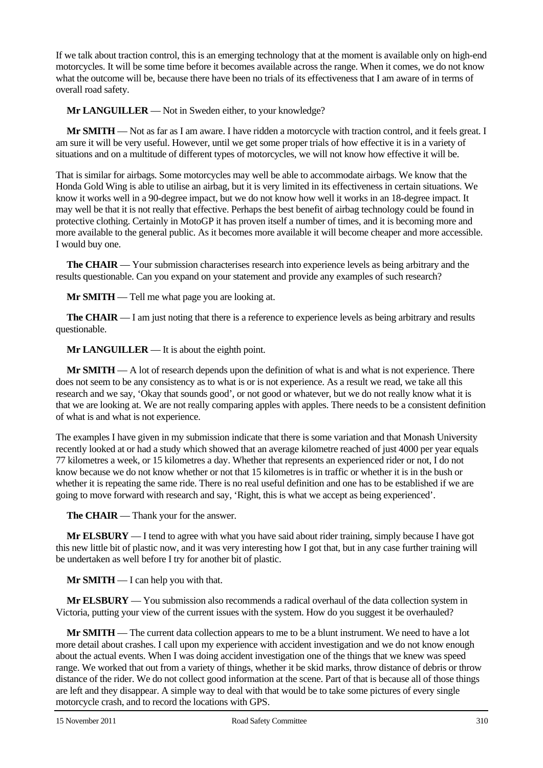If we talk about traction control, this is an emerging technology that at the moment is available only on high-end motorcycles. It will be some time before it becomes available across the range. When it comes, we do not know what the outcome will be, because there have been no trials of its effectiveness that I am aware of in terms of overall road safety.

**Mr LANGUILLER** — Not in Sweden either, to your knowledge?

**Mr SMITH** — Not as far as I am aware. I have ridden a motorcycle with traction control, and it feels great. I am sure it will be very useful. However, until we get some proper trials of how effective it is in a variety of situations and on a multitude of different types of motorcycles, we will not know how effective it will be.

That is similar for airbags. Some motorcycles may well be able to accommodate airbags. We know that the Honda Gold Wing is able to utilise an airbag, but it is very limited in its effectiveness in certain situations. We know it works well in a 90-degree impact, but we do not know how well it works in an 18-degree impact. It may well be that it is not really that effective. Perhaps the best benefit of airbag technology could be found in protective clothing. Certainly in MotoGP it has proven itself a number of times, and it is becoming more and more available to the general public. As it becomes more available it will become cheaper and more accessible. I would buy one.

**The CHAIR** — Your submission characterises research into experience levels as being arbitrary and the results questionable. Can you expand on your statement and provide any examples of such research?

**Mr SMITH** — Tell me what page you are looking at.

**The CHAIR** — I am just noting that there is a reference to experience levels as being arbitrary and results questionable.

**Mr LANGUILLER** — It is about the eighth point.

**Mr SMITH** — A lot of research depends upon the definition of what is and what is not experience. There does not seem to be any consistency as to what is or is not experience. As a result we read, we take all this research and we say, 'Okay that sounds good', or not good or whatever, but we do not really know what it is that we are looking at. We are not really comparing apples with apples. There needs to be a consistent definition of what is and what is not experience.

The examples I have given in my submission indicate that there is some variation and that Monash University recently looked at or had a study which showed that an average kilometre reached of just 4000 per year equals 77 kilometres a week, or 15 kilometres a day. Whether that represents an experienced rider or not, I do not know because we do not know whether or not that 15 kilometres is in traffic or whether it is in the bush or whether it is repeating the same ride. There is no real useful definition and one has to be established if we are going to move forward with research and say, 'Right, this is what we accept as being experienced'.

**The CHAIR** — Thank your for the answer.

**Mr ELSBURY** — I tend to agree with what you have said about rider training, simply because I have got this new little bit of plastic now, and it was very interesting how I got that, but in any case further training will be undertaken as well before I try for another bit of plastic.

**Mr SMITH** — I can help you with that.

**Mr ELSBURY** — You submission also recommends a radical overhaul of the data collection system in Victoria, putting your view of the current issues with the system. How do you suggest it be overhauled?

**Mr SMITH** — The current data collection appears to me to be a blunt instrument. We need to have a lot more detail about crashes. I call upon my experience with accident investigation and we do not know enough about the actual events. When I was doing accident investigation one of the things that we knew was speed range. We worked that out from a variety of things, whether it be skid marks, throw distance of debris or throw distance of the rider. We do not collect good information at the scene. Part of that is because all of those things are left and they disappear. A simple way to deal with that would be to take some pictures of every single motorcycle crash, and to record the locations with GPS.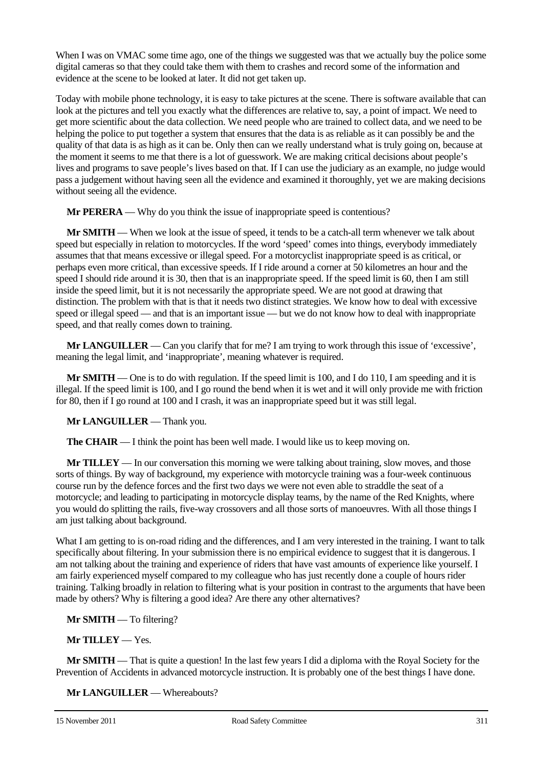When I was on VMAC some time ago, one of the things we suggested was that we actually buy the police some digital cameras so that they could take them with them to crashes and record some of the information and evidence at the scene to be looked at later. It did not get taken up.

Today with mobile phone technology, it is easy to take pictures at the scene. There is software available that can look at the pictures and tell you exactly what the differences are relative to, say, a point of impact. We need to get more scientific about the data collection. We need people who are trained to collect data, and we need to be helping the police to put together a system that ensures that the data is as reliable as it can possibly be and the quality of that data is as high as it can be. Only then can we really understand what is truly going on, because at the moment it seems to me that there is a lot of guesswork. We are making critical decisions about people's lives and programs to save people's lives based on that. If I can use the judiciary as an example, no judge would pass a judgement without having seen all the evidence and examined it thoroughly, yet we are making decisions without seeing all the evidence.

**Mr PERERA** — Why do you think the issue of inappropriate speed is contentious?

**Mr SMITH** — When we look at the issue of speed, it tends to be a catch-all term whenever we talk about speed but especially in relation to motorcycles. If the word 'speed' comes into things, everybody immediately assumes that that means excessive or illegal speed. For a motorcyclist inappropriate speed is as critical, or perhaps even more critical, than excessive speeds. If I ride around a corner at 50 kilometres an hour and the speed I should ride around it is 30, then that is an inappropriate speed. If the speed limit is 60, then I am still inside the speed limit, but it is not necessarily the appropriate speed. We are not good at drawing that distinction. The problem with that is that it needs two distinct strategies. We know how to deal with excessive speed or illegal speed — and that is an important issue — but we do not know how to deal with inappropriate speed, and that really comes down to training.

**Mr LANGUILLER** — Can you clarify that for me? I am trying to work through this issue of 'excessive', meaning the legal limit, and 'inappropriate', meaning whatever is required.

**Mr SMITH** — One is to do with regulation. If the speed limit is 100, and I do 110, I am speeding and it is illegal. If the speed limit is 100, and I go round the bend when it is wet and it will only provide me with friction for 80, then if I go round at 100 and I crash, it was an inappropriate speed but it was still legal.

**Mr LANGUILLER** — Thank you.

**The CHAIR** — I think the point has been well made. I would like us to keep moving on.

**Mr TILLEY** — In our conversation this morning we were talking about training, slow moves, and those sorts of things. By way of background, my experience with motorcycle training was a four-week continuous course run by the defence forces and the first two days we were not even able to straddle the seat of a motorcycle; and leading to participating in motorcycle display teams, by the name of the Red Knights, where you would do splitting the rails, five-way crossovers and all those sorts of manoeuvres. With all those things I am just talking about background.

What I am getting to is on-road riding and the differences, and I am very interested in the training. I want to talk specifically about filtering. In your submission there is no empirical evidence to suggest that it is dangerous. I am not talking about the training and experience of riders that have vast amounts of experience like yourself. I am fairly experienced myself compared to my colleague who has just recently done a couple of hours rider training. Talking broadly in relation to filtering what is your position in contrast to the arguments that have been made by others? Why is filtering a good idea? Are there any other alternatives?

**Mr SMITH** — To filtering?

**Mr TILLEY** — Yes.

**Mr <b>SMITH** — That is quite a question! In the last few years I did a diploma with the Royal Society for the Prevention of Accidents in advanced motorcycle instruction. It is probably one of the best things I have done.

**Mr LANGUILLER** — Whereabouts?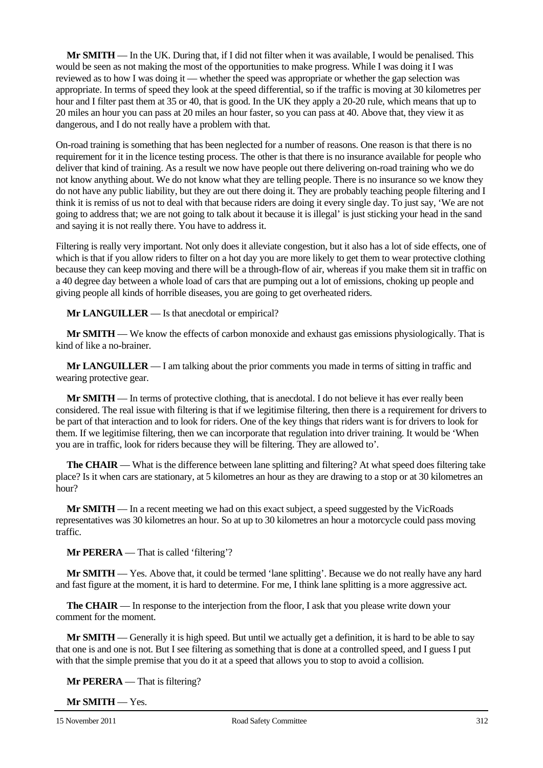**Mr SMITH** — In the UK. During that, if I did not filter when it was available, I would be penalised. This would be seen as not making the most of the opportunities to make progress. While I was doing it I was reviewed as to how I was doing it — whether the speed was appropriate or whether the gap selection was appropriate. In terms of speed they look at the speed differential, so if the traffic is moving at 30 kilometres per hour and I filter past them at 35 or 40, that is good. In the UK they apply a 20-20 rule, which means that up to 20 miles an hour you can pass at 20 miles an hour faster, so you can pass at 40. Above that, they view it as dangerous, and I do not really have a problem with that.

On-road training is something that has been neglected for a number of reasons. One reason is that there is no requirement for it in the licence testing process. The other is that there is no insurance available for people who deliver that kind of training. As a result we now have people out there delivering on-road training who we do not know anything about. We do not know what they are telling people. There is no insurance so we know they do not have any public liability, but they are out there doing it. They are probably teaching people filtering and I think it is remiss of us not to deal with that because riders are doing it every single day. To just say, 'We are not going to address that; we are not going to talk about it because it is illegal' is just sticking your head in the sand and saying it is not really there. You have to address it.

Filtering is really very important. Not only does it alleviate congestion, but it also has a lot of side effects, one of which is that if you allow riders to filter on a hot day you are more likely to get them to wear protective clothing because they can keep moving and there will be a through-flow of air, whereas if you make them sit in traffic on a 40 degree day between a whole load of cars that are pumping out a lot of emissions, choking up people and giving people all kinds of horrible diseases, you are going to get overheated riders.

**Mr LANGUILLER** — Is that anecdotal or empirical?

**Mr SMITH** — We know the effects of carbon monoxide and exhaust gas emissions physiologically. That is kind of like a no-brainer.

**Mr LANGUILLER** — I am talking about the prior comments you made in terms of sitting in traffic and wearing protective gear.

**Mr SMITH** — In terms of protective clothing, that is anecdotal. I do not believe it has ever really been considered. The real issue with filtering is that if we legitimise filtering, then there is a requirement for drivers to be part of that interaction and to look for riders. One of the key things that riders want is for drivers to look for them. If we legitimise filtering, then we can incorporate that regulation into driver training. It would be 'When you are in traffic, look for riders because they will be filtering. They are allowed to'.

**The CHAIR** — What is the difference between lane splitting and filtering? At what speed does filtering take place? Is it when cars are stationary, at 5 kilometres an hour as they are drawing to a stop or at 30 kilometres an hour?

**Mr SMITH** — In a recent meeting we had on this exact subject, a speed suggested by the VicRoads representatives was 30 kilometres an hour. So at up to 30 kilometres an hour a motorcycle could pass moving traffic.

**Mr PERERA** — That is called 'filtering'?

**Mr SMITH** — Yes. Above that, it could be termed 'lane splitting'. Because we do not really have any hard and fast figure at the moment, it is hard to determine. For me, I think lane splitting is a more aggressive act.

**The CHAIR** — In response to the interjection from the floor, I ask that you please write down your comment for the moment.

**Mr SMITH** — Generally it is high speed. But until we actually get a definition, it is hard to be able to say that one is and one is not. But I see filtering as something that is done at a controlled speed, and I guess I put with that the simple premise that you do it at a speed that allows you to stop to avoid a collision.

**Mr PERERA** — That is filtering?

**Mr SMITH** — Yes.